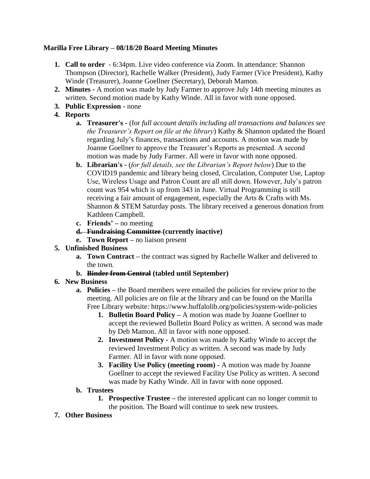# **Marilla Free Library – 08/18/20 Board Meeting Minutes**

- **1. Call to order** 6:34pm. Live video conference via Zoom. In attendance: Shannon Thompson (Director), Rachelle Walker (President), Judy Farmer (Vice President), Kathy Winde (Treasurer), Joanne Goellner (Secretary), Deborah Mamon.
- **2. Minutes -** A motion was made by Judy Farmer to approve July 14th meeting minutes as written. Second motion made by Kathy Winde. All in favor with none opposed.
- **3. Public Expression -** none
- **4. Reports**
	- **a. Treasurer's -** (for *full account details including all transactions and balances see the Treasurer's Report on file at the library*) Kathy & Shannon updated the Board regarding July's finances, transactions and accounts. A motion was made by Joanne Goellner to approve the Treasurer's Reports as presented. A second motion was made by Judy Farmer. All were in favor with none opposed.
	- **b. Librarian's -** (*for full details, see the Librarian's Report below*) Due to the COVID19 pandemic and library being closed, Circulation, Computer Use, Laptop Use, Wireless Usage and Patron Count are all still down. However, July's patron count was 954 which is up from 343 in June. Virtual Programming is still receiving a fair amount of engagement, especially the Arts & Crafts with Ms. Shannon & STEM Saturday posts. The library received a generous donation from Kathleen Campbell.
	- **c. Friends' –** no meeting
	- **d. Fundraising Committee (currently inactive)**
	- **e. Town Report –** no liaison present
- **5. Unfinished Business** 
	- **a. Town Contract –** the contract was signed by Rachelle Walker and delivered to the town.
	- **b. Binder from Central (tabled until September)**
- **6. New Business**
	- **a. Policies –** the Board members were emailed the policies for review prior to the meeting. All policies are on file at the library and can be found on the Marilla Free Library website: https://www.buffalolib.org/policies/system-wide-policies
		- **1. Bulletin Board Policy –** A motion was made by Joanne Goellner to accept the reviewed Bulletin Board Policy as written. A second was made by Deb Mamon. All in favor with none opposed.
		- **2. Investment Policy -** A motion was made by Kathy Winde to accept the reviewed Investment Policy as written. A second was made by Judy Farmer. All in favor with none opposed.
		- **3. Facility Use Policy (meeting room) -** A motion was made by Joanne Goellner to accept the reviewed Facility Use Policy as written. A second was made by Kathy Winde. All in favor with none opposed.
	- **b. Trustees**
		- **1. Prospective Trustee –** the interested applicant can no longer commit to the position. The Board will continue to seek new trustees.
- **7. Other Business**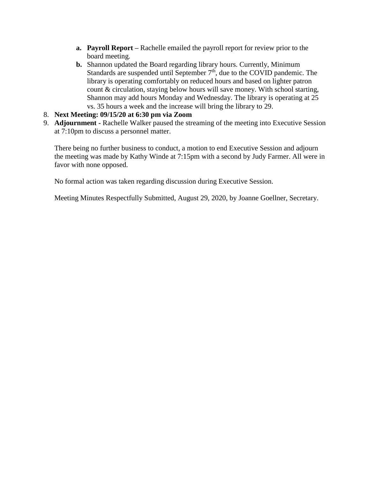- **a. Payroll Report –** Rachelle emailed the payroll report for review prior to the board meeting.
- **b.** Shannon updated the Board regarding library hours. Currently, Minimum Standards are suspended until September  $7<sup>th</sup>$ , due to the COVID pandemic. The library is operating comfortably on reduced hours and based on lighter patron count & circulation, staying below hours will save money. With school starting, Shannon may add hours Monday and Wednesday. The library is operating at 25 vs. 35 hours a week and the increase will bring the library to 29.
- 8. **Next Meeting: 09/15/20 at 6:30 pm via Zoom**
- 9. **Adjournment -** Rachelle Walker paused the streaming of the meeting into Executive Session at 7:10pm to discuss a personnel matter.

There being no further business to conduct, a motion to end Executive Session and adjourn the meeting was made by Kathy Winde at 7:15pm with a second by Judy Farmer. All were in favor with none opposed.

No formal action was taken regarding discussion during Executive Session.

Meeting Minutes Respectfully Submitted, August 29, 2020, by Joanne Goellner, Secretary.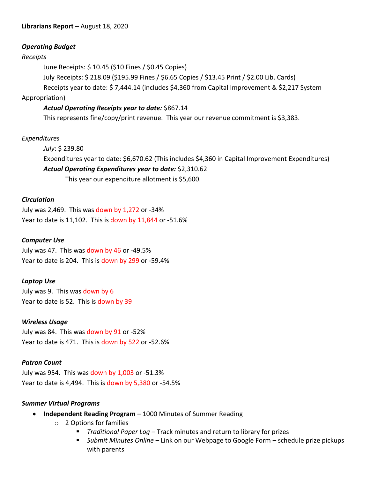## *Operating Budget*

### *Receipts*

June Receipts: \$ 10.45 (\$10 Fines / \$0.45 Copies)

July Receipts: \$ 218.09 (\$195.99 Fines / \$6.65 Copies / \$13.45 Print / \$2.00 Lib. Cards)

Receipts year to date: \$ 7,444.14 (includes \$4,360 from Capital Improvement & \$2,217 System

## Appropriation)

# *Actual Operating Receipts year to date:* \$867.14

This represents fine/copy/print revenue. This year our revenue commitment is \$3,383.

## *Expenditures*

*July*: \$ 239.80 Expenditures year to date: \$6,670.62 (This includes \$4,360 in Capital Improvement Expenditures) *Actual Operating Expenditures year to date:* \$2,310.62 This year our expenditure allotment is \$5,600.

### *Circulation*

July was 2,469. This was down by 1,272 or -34% Year to date is 11,102. This is down by 11,844 or -51.6%

#### *Computer Use*

July was 47. This was down by 46 or -49.5% Year to date is 204. This is down by 299 or -59.4%

#### *Laptop Use*

July was 9. This was down by 6 Year to date is 52. This is down by 39

#### *Wireless Usage*

July was 84. This was down by 91 or -52% Year to date is 471. This is down by 522 or -52.6%

## *Patron Count*

July was 954. This was down by 1,003 or -51.3% Year to date is 4,494. This is down by 5,380 or -54.5%

#### *Summer Virtual Programs*

- **Independent Reading Program**  1000 Minutes of Summer Reading
	- o 2 Options for families
		- *Traditional Paper Log* Track minutes and return to library for prizes
		- *Submit Minutes Online* Link on our Webpage to Google Form schedule prize pickups with parents